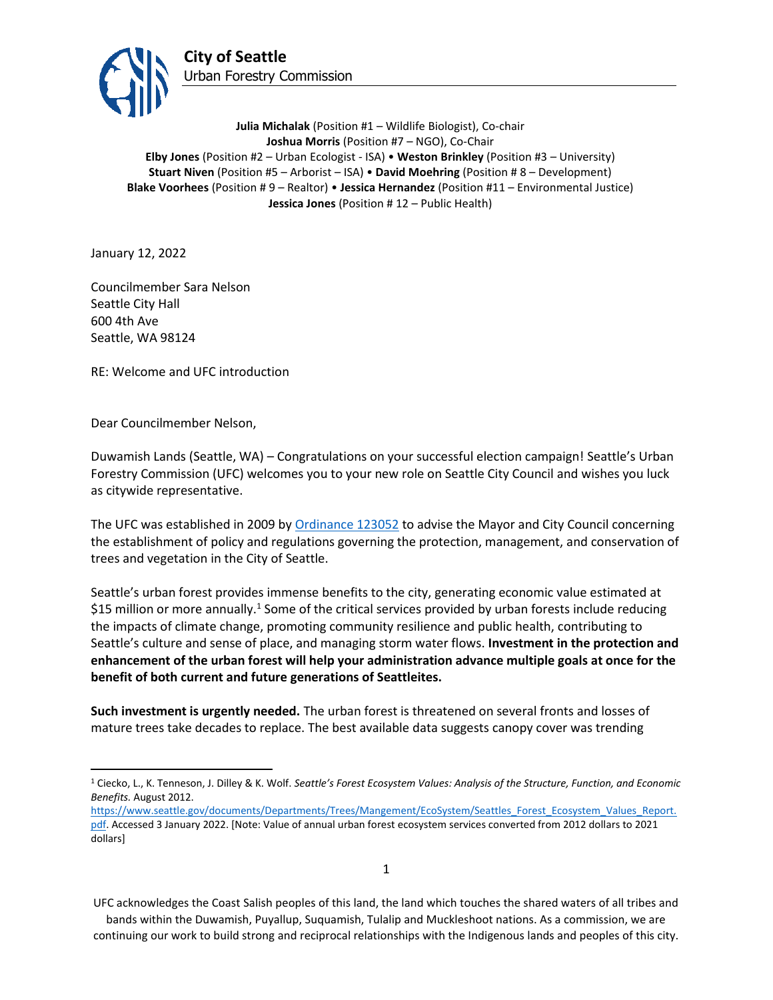

**Julia Michalak** (Position #1 – Wildlife Biologist), Co-chair **Joshua Morris** (Position #7 – NGO), Co-Chair **Elby Jones** (Position #2 – Urban Ecologist - ISA) • **Weston Brinkley** (Position #3 – University) **Stuart Niven** (Position #5 – Arborist – ISA) • **David Moehring** (Position # 8 – Development) **Blake Voorhees** (Position # 9 – Realtor) • **Jessica Hernandez** (Position #11 – Environmental Justice) **Jessica Jones** (Position # 12 – Public Health)

January 12, 2022

Councilmember Sara Nelson Seattle City Hall 600 4th Ave Seattle, WA 98124

RE: Welcome and UFC introduction

Dear Councilmember Nelson,

Duwamish Lands (Seattle, WA) – Congratulations on your successful election campaign! Seattle's Urban Forestry Commission (UFC) welcomes you to your new role on Seattle City Council and wishes you luck as citywide representative.

The UFC was established in 2009 b[y Ordinance 123052](http://clerk.seattle.gov/search/ordinances/123052) to advise the Mayor and City Council concerning the establishment of policy and regulations governing the protection, management, and conservation of trees and vegetation in the City of Seattle.

Seattle's urban forest provides immense benefits to the city, generating economic value estimated at \$15 million or more annually.<sup>1</sup> Some of the critical services provided by urban forests include reducing the impacts of climate change, promoting community resilience and public health, contributing to Seattle's culture and sense of place, and managing storm water flows. **Investment in the protection and enhancement of the urban forest will help your administration advance multiple goals at once for the benefit of both current and future generations of Seattleites.** 

**Such investment is urgently needed.** The urban forest is threatened on several fronts and losses of mature trees take decades to replace. The best available data suggests canopy cover was trending

<sup>1</sup> Ciecko, L., K. Tenneson, J. Dilley & K. Wolf. *Seattle's Forest Ecosystem Values: Analysis of the Structure, Function, and Economic Benefits.* August 2012.

[https://www.seattle.gov/documents/Departments/Trees/Mangement/EcoSystem/Seattles\\_Forest\\_Ecosystem\\_Values\\_Report.](https://www.seattle.gov/documents/Departments/Trees/Mangement/EcoSystem/Seattles_Forest_Ecosystem_Values_Report.pdf) [pdf.](https://www.seattle.gov/documents/Departments/Trees/Mangement/EcoSystem/Seattles_Forest_Ecosystem_Values_Report.pdf) Accessed 3 January 2022. [Note: Value of annual urban forest ecosystem services converted from 2012 dollars to 2021 dollars]

UFC acknowledges the Coast Salish peoples of this land, the land which touches the shared waters of all tribes and bands within the Duwamish, Puyallup, Suquamish, Tulalip and Muckleshoot nations. As a commission, we are continuing our work to build strong and reciprocal relationships with the Indigenous lands and peoples of this city.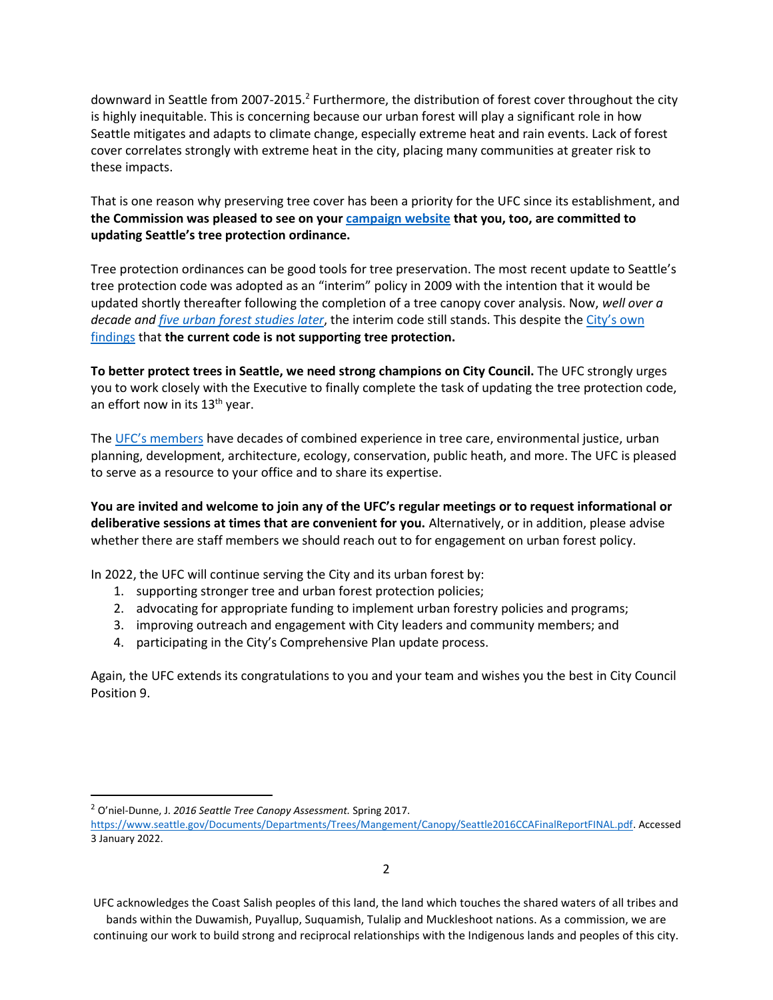downward in Seattle from 2007-2015.<sup>2</sup> Furthermore, the distribution of forest cover throughout the city is highly inequitable. This is concerning because our urban forest will play a significant role in how Seattle mitigates and adapts to climate change, especially extreme heat and rain events. Lack of forest cover correlates strongly with extreme heat in the city, placing many communities at greater risk to these impacts.

That is one reason why preserving tree cover has been a priority for the UFC since its establishment, and **the Commission was pleased to see on your [campaign website](https://www.saraforcitycouncil.com/environment) that you, too, are committed to updating Seattle's tree protection ordinance.**

Tree protection ordinances can be good tools for tree preservation. The most recent update to Seattle's tree protection code was adopted as an "interim" policy in 2009 with the intention that it would be updated shortly thereafter following the completion of a tree canopy cover analysis. Now, *well over a decade and [five urban forest studies later](https://www.invw.org/2017/06/27/seattles-tree-canopy-studies/)*, the interim code still stands. This despite the [City's own](https://www.seattle.gov/Documents/Departments/UrbanForestryCommission/Resources/TreeRegsResearchProjectPhaseIIFinalReport033117.pdf)  [findings](https://www.seattle.gov/Documents/Departments/UrbanForestryCommission/Resources/TreeRegsResearchProjectPhaseIIFinalReport033117.pdf) that **the current code is not supporting tree protection.**

**To better protect trees in Seattle, we need strong champions on City Council.** The UFC strongly urges you to work closely with the Executive to finally complete the task of updating the tree protection code, an effort now in its 13<sup>th</sup> year.

The [UFC's members](https://www.seattle.gov/urbanforestrycommission/membershipandroster) have decades of combined experience in tree care, environmental justice, urban planning, development, architecture, ecology, conservation, public heath, and more. The UFC is pleased to serve as a resource to your office and to share its expertise.

**You are invited and welcome to join any of the UFC's regular meetings or to request informational or deliberative sessions at times that are convenient for you.** Alternatively, or in addition, please advise whether there are staff members we should reach out to for engagement on urban forest policy.

In 2022, the UFC will continue serving the City and its urban forest by:

- 1. supporting stronger tree and urban forest protection policies;
- 2. advocating for appropriate funding to implement urban forestry policies and programs;
- 3. improving outreach and engagement with City leaders and community members; and
- 4. participating in the City's Comprehensive Plan update process.

Again, the UFC extends its congratulations to you and your team and wishes you the best in City Council Position 9.

<sup>2</sup> O'niel-Dunne, J. *2016 Seattle Tree Canopy Assessment.* Spring 2017.

[https://www.seattle.gov/Documents/Departments/Trees/Mangement/Canopy/Seattle2016CCAFinalReportFINAL.pdf.](https://www.seattle.gov/Documents/Departments/Trees/Mangement/Canopy/Seattle2016CCAFinalReportFINAL.pdf) Accessed 3 January 2022.

UFC acknowledges the Coast Salish peoples of this land, the land which touches the shared waters of all tribes and bands within the Duwamish, Puyallup, Suquamish, Tulalip and Muckleshoot nations. As a commission, we are

continuing our work to build strong and reciprocal relationships with the Indigenous lands and peoples of this city.